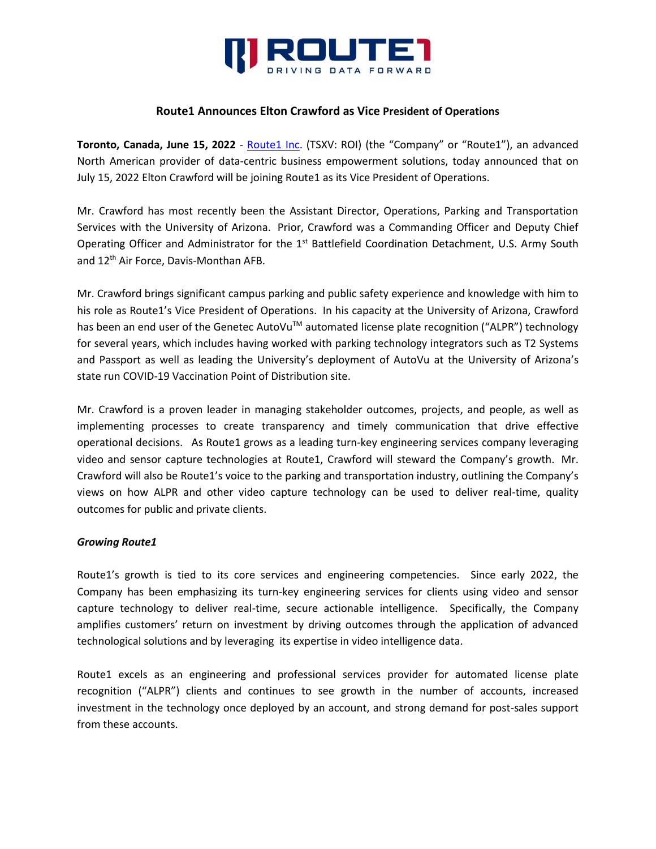

# **Route1 Announces Elton Crawford as Vice President of Operations**

**Toronto, Canada, June 15, 2022** - [Route1 Inc.](http://www.route1.com/) (TSXV: ROI) (the "Company" or "Route1"), an advanced North American provider of data-centric business empowerment solutions, today announced that on July 15, 2022 Elton Crawford will be joining Route1 as its Vice President of Operations.

Mr. Crawford has most recently been the Assistant Director, Operations, Parking and Transportation Services with the University of Arizona. Prior, Crawford was a Commanding Officer and Deputy Chief Operating Officer and Administrator for the 1<sup>st</sup> Battlefield Coordination Detachment, U.S. Army South and 12<sup>th</sup> Air Force, Davis-Monthan AFB.

Mr. Crawford brings significant campus parking and public safety experience and knowledge with him to his role as Route1's Vice President of Operations. In his capacity at the University of Arizona, Crawford has been an end user of the Genetec AutoVu™ automated license plate recognition ("ALPR") technology for several years, which includes having worked with parking technology integrators such as T2 Systems and Passport as well as leading the University's deployment of AutoVu at the University of Arizona's state run COVID-19 Vaccination Point of Distribution site.

Mr. Crawford is a proven leader in managing stakeholder outcomes, projects, and people, as well as implementing processes to create transparency and timely communication that drive effective operational decisions. As Route1 grows as a leading turn-key engineering services company leveraging video and sensor capture technologies at Route1, Crawford will steward the Company's growth. Mr. Crawford will also be Route1's voice to the parking and transportation industry, outlining the Company's views on how ALPR and other video capture technology can be used to deliver real-time, quality outcomes for public and private clients.

#### *Growing Route1*

Route1's growth is tied to its core services and engineering competencies. Since early 2022, the Company has been emphasizing its turn-key engineering services for clients using video and sensor capture technology to deliver real-time, secure actionable intelligence. Specifically, the Company amplifies customers' return on investment by driving outcomes through the application of advanced technological solutions and by leveraging its expertise in video intelligence data.

Route1 excels as an engineering and professional services provider for automated license plate recognition ("ALPR") clients and continues to see growth in the number of accounts, increased investment in the technology once deployed by an account, and strong demand for post-sales support from these accounts.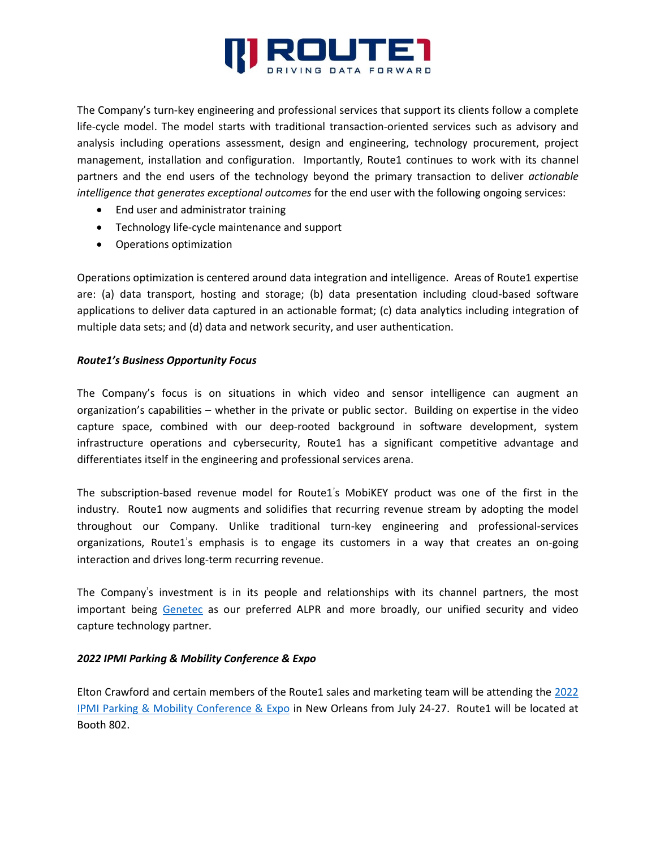

The Company's turn-key engineering and professional services that support its clients follow a complete life-cycle model. The model starts with traditional transaction-oriented services such as advisory and analysis including operations assessment, design and engineering, technology procurement, project management, installation and configuration. Importantly, Route1 continues to work with its channel partners and the end users of the technology beyond the primary transaction to deliver *actionable intelligence that generates exceptional outcomes* for the end user with the following ongoing services:

- End user and administrator training
- Technology life-cycle maintenance and support
- Operations optimization

Operations optimization is centered around data integration and intelligence. Areas of Route1 expertise are: (a) data transport, hosting and storage; (b) data presentation including cloud-based software applications to deliver data captured in an actionable format; (c) data analytics including integration of multiple data sets; and (d) data and network security, and user authentication.

### *Route1's Business Opportunity Focus*

The Company's focus is on situations in which video and sensor intelligence can augment an organization's capabilities – whether in the private or public sector. Building on expertise in the video capture space, combined with our deep-rooted background in software development, system infrastructure operations and cybersecurity, Route1 has a significant competitive advantage and differentiates itself in the engineering and professional services arena.

The subscription-based revenue model for Route1's MobiKEY product was one of the first in the industry. Route1 now augments and solidifies that recurring revenue stream by adopting the model throughout our Company. Unlike traditional turn-key engineering and professional-services organizations, Route1's emphasis is to engage its customers in a way that creates an on-going interaction and drives long-term recurring revenue.

The Company's investment is in its people and relationships with its channel partners, the most important being [Genetec](https://www.genetec.com/) as our preferred ALPR and more broadly, our unified security and video capture technology partner.

# *2022 IPMI Parking & Mobility Conference & Expo*

Elton Crawford and certain members of the Route1 sales and marketing team will be attending th[e 2022](https://ipmi.parking-mobility.org/2022/)  [IPMI Parking & Mobility Conference & Expo](https://ipmi.parking-mobility.org/2022/) in New Orleans from July 24-27. Route1 will be located at Booth 802.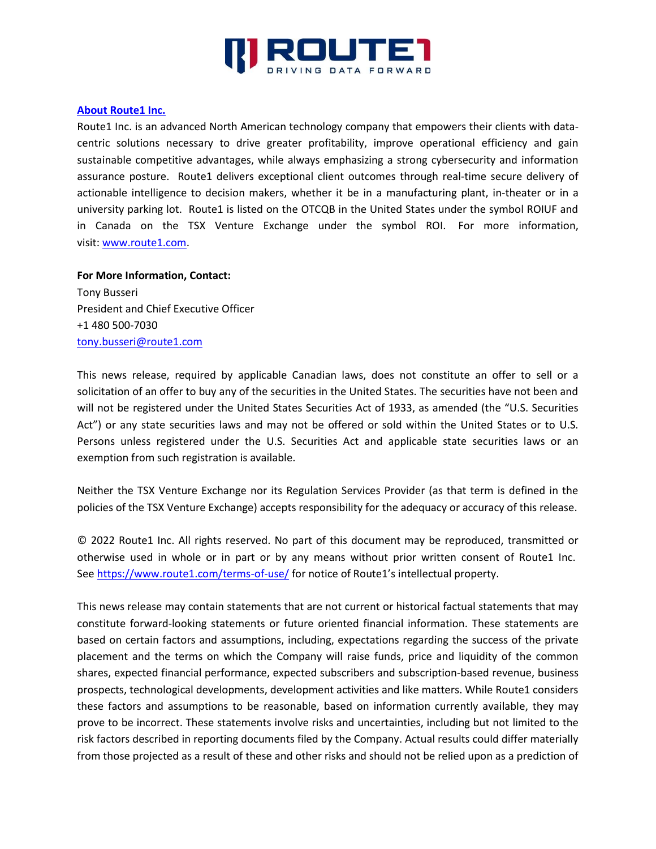

### **[About Route1 Inc.](http://www.route1.com/)**

Route1 Inc. is an advanced North American technology company that empowers their clients with datacentric solutions necessary to drive greater profitability, improve operational efficiency and gain sustainable competitive advantages, while always emphasizing a strong cybersecurity and information assurance posture. Route1 delivers exceptional client outcomes through real-time secure delivery of actionable intelligence to decision makers, whether it be in a manufacturing plant, in-theater or in a university parking lot. Route1 is listed on the OTCQB in the United States under the symbol ROIUF and in Canada on the TSX Venture Exchange under the symbol ROI. For more information, visit: [www.route1.com.](http://www.route1.com/)

**For More Information, Contact:** Tony Busseri President and Chief Executive Officer +1 480 500-7030 [tony.busseri@route1.com](mailto:tony.busseri@route1.com)

This news release, required by applicable Canadian laws, does not constitute an offer to sell or a solicitation of an offer to buy any of the securities in the United States. The securities have not been and will not be registered under the United States Securities Act of 1933, as amended (the "U.S. Securities Act") or any state securities laws and may not be offered or sold within the United States or to U.S. Persons unless registered under the U.S. Securities Act and applicable state securities laws or an exemption from such registration is available.

Neither the TSX Venture Exchange nor its Regulation Services Provider (as that term is defined in the policies of the TSX Venture Exchange) accepts responsibility for the adequacy or accuracy of this release.

© 2022 Route1 Inc. All rights reserved. No part of this document may be reproduced, transmitted or otherwise used in whole or in part or by any means without prior written consent of Route1 Inc. See https://www.route1.com/terms-of-use/ for notice of Route1's intellectual property.

This news release may contain statements that are not current or historical factual statements that may constitute forward-looking statements or future oriented financial information. These statements are based on certain factors and assumptions, including, expectations regarding the success of the private placement and the terms on which the Company will raise funds, price and liquidity of the common shares, expected financial performance, expected subscribers and subscription-based revenue, business prospects, technological developments, development activities and like matters. While Route1 considers these factors and assumptions to be reasonable, based on information currently available, they may prove to be incorrect. These statements involve risks and uncertainties, including but not limited to the risk factors described in reporting documents filed by the Company. Actual results could differ materially from those projected as a result of these and other risks and should not be relied upon as a prediction of